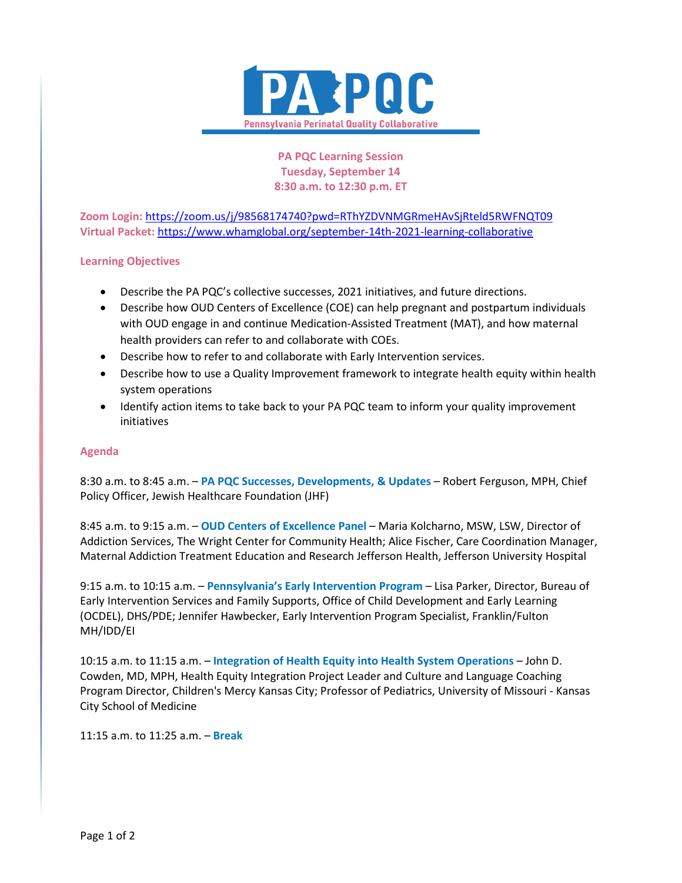

**PA PQC Learning Session Tuesday, September 14 8:30 a.m. to 12:30 p.m. ET**

**Zoom Login:** <https://zoom.us/j/98568174740?pwd=RThYZDVNMGRmeHAvSjRteld5RWFNQT09> **Virtual Packet:** <https://www.whamglobal.org/september-14th-2021-learning-collaborative>

## **Learning Objectives**

- Describe the PA PQC's collective successes, 2021 initiatives, and future directions.
- Describe how OUD Centers of Excellence (COE) can help pregnant and postpartum individuals with OUD engage in and continue Medication-Assisted Treatment (MAT), and how maternal health providers can refer to and collaborate with COEs.
- Describe how to refer to and collaborate with Early Intervention services.
- Describe how to use a Quality Improvement framework to integrate health equity within health system operations
- Identify action items to take back to your PA PQC team to inform your quality improvement initiatives

## **Agenda**

8:30 a.m. to 8:45 a.m. – **PA PQC Successes, Developments, & Updates** – Robert Ferguson, MPH, Chief Policy Officer, Jewish Healthcare Foundation (JHF)

8:45 a.m. to 9:15 a.m. – **OUD Centers of Excellence Panel** – Maria Kolcharno, MSW, LSW, Director of Addiction Services, The Wright Center for Community Health; Alice Fischer, Care Coordination Manager, Maternal Addiction Treatment Education and Research Jefferson Health, Jefferson University Hospital

9:15 a.m. to 10:15 a.m. – **Pennsylvania's Early Intervention Program** – Lisa Parker, Director, Bureau of Early Intervention Services and Family Supports, Office of Child Development and Early Learning (OCDEL), DHS/PDE; Jennifer Hawbecker, Early Intervention Program Specialist, Franklin/Fulton MH/IDD/EI

10:15 a.m. to 11:15 a.m. – **Integration of Health Equity into Health System Operations** – John D. Cowden, MD, MPH, Health Equity Integration Project Leader and Culture and Language Coaching Program Director, Children's Mercy Kansas City; Professor of Pediatrics, University of Missouri - Kansas City School of Medicine

11:15 a.m. to 11:25 a.m. – **Break**